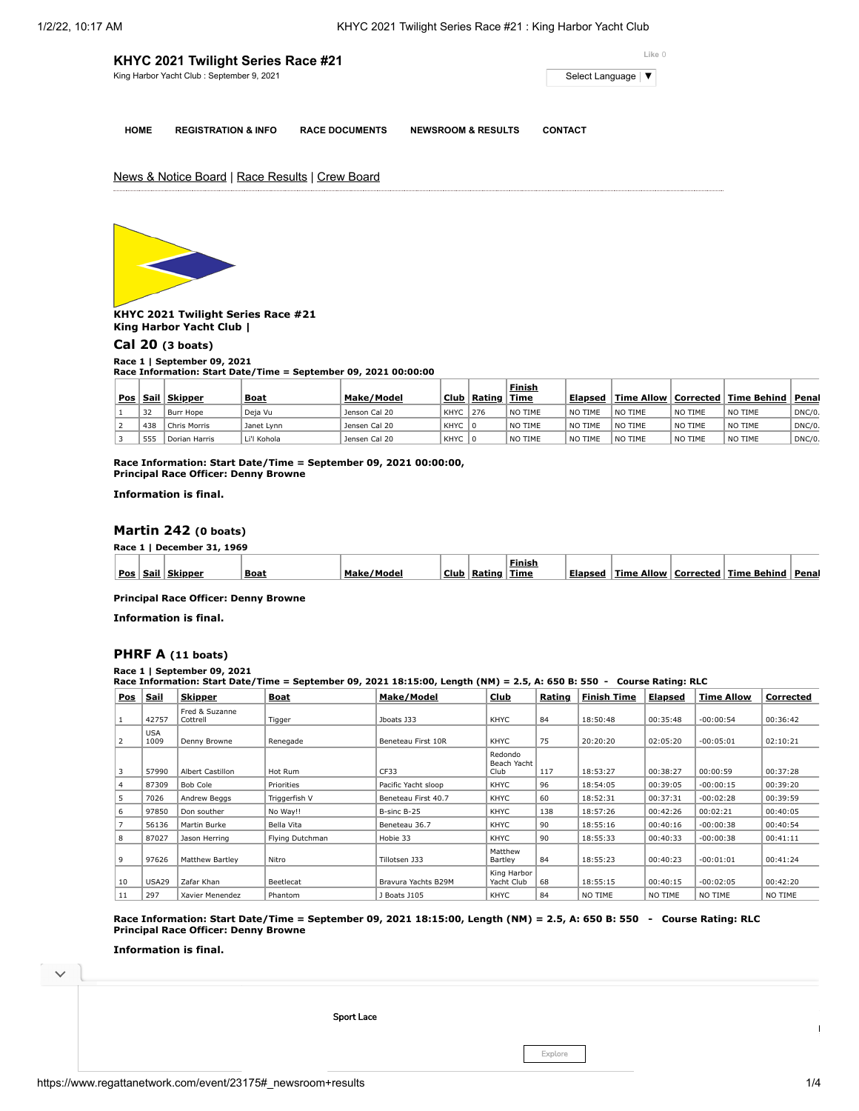| KHYC 2021 Twilight Series Race #21         | Like 0            |
|--------------------------------------------|-------------------|
| King Harbor Yacht Club : September 9, 2021 | Select Language V |
|                                            |                   |

**HOME REGISTRATION & INFO RACE DOCUMENTS NEWSROOM & RESULTS CONTACT**

News & Notice Board | Race Results | Crew Board



**KHYC 2021 Twilight Series Race #21 King Harbor Yacht Club |**

### **[Cal 20](https://www.regattanetwork.com/clubmgmt/applet_race_scores_khyc.php?regatta_id=23175&race_num=1) (3 boats)**

**Race 1 | September 09, 2021 Race Information: Start Date/Time = September 09, 2021 00:00:00**

|     |             |               |             |               |             |        | <b>Finish</b> |                        |         |         |                                      |         |
|-----|-------------|---------------|-------------|---------------|-------------|--------|---------------|------------------------|---------|---------|--------------------------------------|---------|
| Pos | <u>Sail</u> | Skipper       | <b>Boat</b> | Make/Model    | <b>Club</b> | Rating | Time          | Elapsed                |         |         | Time Allow   Corrected   Time Behind | ' Penal |
|     | 32          | Burr Hope     | Deja Vu     | Jenson Cal 20 | <b>KHYC</b> | 276    | NO TIME       | NO TIME                | NO TIME | NO TIME | NO TIME                              | DNC/0.  |
|     | 438         | Chris Morris  | Janet Lynn  | Jensen Cal 20 | <b>KHYC</b> | ΙO     | NO TIME       | N <sub>O</sub><br>TIME | NO TIME | NO TIME | NO TIME                              | DNC/0.  |
|     | 555         | Dorian Harris | Li'l Kohola | Jensen Cal 20 | KHYC        |        | NO TIME       | ∣ NO<br>TIME           | NO TIME | NO TIME | NO TIME                              | DNC/0.  |

**Race Information: Start Date/Time = September 09, 2021 00:00:00, Principal Race Officer: Denny Browne**

**Information is final.**

# **[Martin 242](https://www.regattanetwork.com/clubmgmt/applet_race_scores_khyc.php?regatta_id=23175&race_num=1) (0 boats)**

**Race 1 | December 31, 1969**

|     |         |         |             |               |      |        | Finish |         |                      |             |             |       |
|-----|---------|---------|-------------|---------------|------|--------|--------|---------|----------------------|-------------|-------------|-------|
| Pos | .sail 1 | Skinner | <b>Boat</b> | Make<br>'oder | Club | Ratino | Time   | Elansed | <b>Allow</b><br>Time | . Corrected | Time Behind | Penal |

**Principal Race Officer: Denny Browne**

**Information is final.**

# **[PHRF A](https://www.regattanetwork.com/clubmgmt/applet_race_scores_khyc.php?regatta_id=23175&race_num=1) (11 boats)**

**Race 1 | September 09, 2021 Race Information: Start Date/Time = September 09, 2021 18:15:00, Length (NM) = 2.5, A: 650 B: 550 - Course Rating: RLC**

| <b>Pos</b> | <u>Sail</u>        | <b>Skipper</b>             | Boat            | Make/Model          | Club                           | Rating | <b>Finish Time</b> | <u>Elapsed</u> | <b>Time Allow</b> | Corrected |  |
|------------|--------------------|----------------------------|-----------------|---------------------|--------------------------------|--------|--------------------|----------------|-------------------|-----------|--|
|            | 42757              | Fred & Suzanne<br>Cottrell | Tigger          | Jboats J33          | KHYC                           | 84     | 18:50:48           | 00:35:48       | $-00:00:54$       | 00:36:42  |  |
| 2          | <b>USA</b><br>1009 | Denny Browne               | Renegade        | Beneteau First 10R  | KHYC                           | 75     | 20:20:20           | 02:05:20       | $-00:05:01$       | 02:10:21  |  |
| 3          | 57990              | Albert Castillon           | Hot Rum         | CF33                | Redondo<br>Beach Yacht<br>Club | 117    | 18:53:27           | 00:38:27       | 00:00:59          | 00:37:28  |  |
| 4          | 87309              | Bob Cole                   | Priorities      | Pacific Yacht sloop | KHYC                           | 96     | 18:54:05           | 00:39:05       | $-00:00:15$       | 00:39:20  |  |
| 5          | 7026               | Andrew Beggs               | Triggerfish V   | Beneteau First 40.7 | KHYC                           | 60     | 18:52:31           | 00:37:31       | $-00:02:28$       | 00:39:59  |  |
| 6          | 97850              | Don souther                | No Wav!!        | B-sinc B-25         | KHYC                           | 138    | 18:57:26           | 00:42:26       | 00:02:21          | 00:40:05  |  |
|            | 56136              | Martin Burke               | Bella Vita      | Beneteau 36.7       | KHYC                           | 90     | 18:55:16           | 00:40:16       | $-00:00:38$       | 00:40:54  |  |
| 8          | 87027              | Jason Herring              | Flying Dutchman | Hobie 33            | KHYC                           | 90     | 18:55:33           | 00:40:33       | $-00:00:38$       | 00:41:11  |  |
| 9          | 97626              | Matthew Bartley            | Nitro           | Tillotsen J33       | Matthew<br>Bartley             | 84     | 18:55:23           | 00:40:23       | $-00:01:01$       | 00:41:24  |  |
| 10         | <b>USA29</b>       | Zafar Khan                 | Beetlecat       | Bravura Yachts B29M | King Harbor<br>Yacht Club      | 68     | 18:55:15           | 00:40:15       | $-00:02:05$       | 00:42:20  |  |
| 11         | 297                | Xavier Menendez            | Phantom         | J Boats J105        | KHYC                           | 84     | NO TIME            | NO TIME        | NO TIME           | NO TIME   |  |

**Race Information: Start Date/Time = September 09, 2021 18:15:00, Length (NM) = 2.5, A: 650 B: 550 - Course Rating: RLC Principal Race Officer: Denny Browne**

**Information is final.**



Explore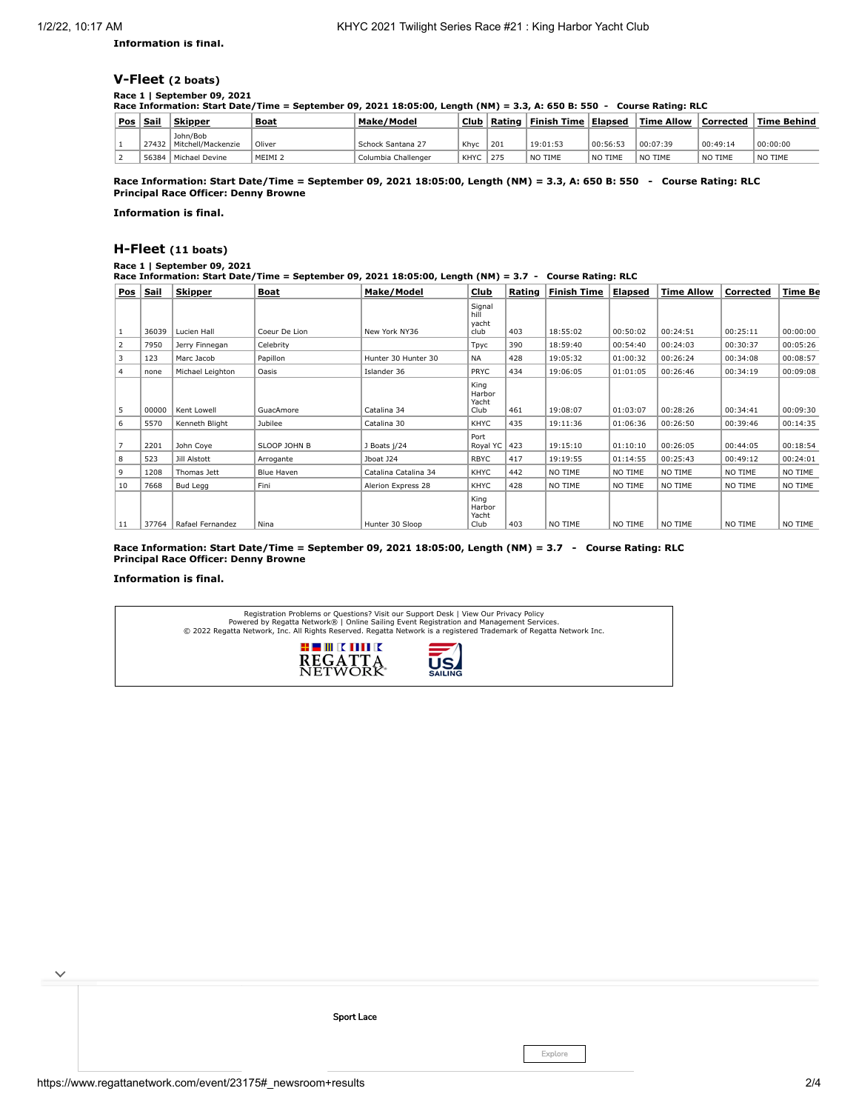**Information is final.**

# **[V-Fleet](https://www.regattanetwork.com/clubmgmt/applet_race_scores_khyc.php?regatta_id=23175&race_num=1) (2 boats)**

#### **Race 1 | September 09, 2021**

**Race Information: Start Date/Time = September 09, 2021 18:05:00, Length (NM) = 3.3, A: 650 B: 550 - Course Rating: RLC**

| Pos | Sail  | <b>Skipper</b>                 | <b>Boat</b>        | Make/Model          | Club        | Rating | $\blacksquare$ Finish Time $\blacksquare$ | Elapsed  | $\blacksquare$ Time Allow | Corrected | ' Time Behind |
|-----|-------|--------------------------------|--------------------|---------------------|-------------|--------|-------------------------------------------|----------|---------------------------|-----------|---------------|
|     | 27432 | John/Bob<br>Mitchell/Mackenzie | Oliver             | Schock Santana 27   | Khyc        | 201    | 19:01:53                                  | 00:56:53 | 00:07:39                  | 00:49:14  | 00:00:00      |
|     | 56384 | Michael Devine                 | MEIMI <sub>2</sub> | Columbia Challenger | <b>KHYC</b> | 275    | NO TIME                                   | NO TIME  | NO TIME                   | NO TIME   | NO TIME       |

**Race Information: Start Date/Time = September 09, 2021 18:05:00, Length (NM) = 3.3, A: 650 B: 550 - Course Rating: RLC Principal Race Officer: Denny Browne**

**Information is final.**

# **[H-Fleet](https://www.regattanetwork.com/clubmgmt/applet_race_scores_khyc.php?regatta_id=23175&race_num=1) (11 boats)**

### **Race 1 | September 09, 2021**

**Race Information: Start Date/Time = September 09, 2021 18:05:00, Length (NM) = 3.7 - Course Rating: RLC**

| <b>Pos</b>     | <u>Sail</u> | <b>Skipper</b>   | <u>Boat</u>       | Make/Model           | Club                            | Rating | <b>Finish Time</b> | <u>Elapsed</u> | Time Allow | Corrected | <b>Time Be</b> |
|----------------|-------------|------------------|-------------------|----------------------|---------------------------------|--------|--------------------|----------------|------------|-----------|----------------|
|                |             |                  |                   |                      | Signal<br>hill<br>yacht         |        |                    |                |            |           |                |
| 1              | 36039       | Lucien Hall      | Coeur De Lion     | New York NY36        | club                            | 403    | 18:55:02           | 00:50:02       | 00:24:51   | 00:25:11  | 00:00:00       |
| 2              | 7950        | Jerry Finnegan   | Celebrity         |                      | Tpyc                            | 390    | 18:59:40           | 00:54:40       | 00:24:03   | 00:30:37  | 00:05:26       |
| 3              | 123         | Marc Jacob       | Papillon          | Hunter 30 Hunter 30  | <b>NA</b>                       | 428    | 19:05:32           | 01:00:32       | 00:26:24   | 00:34:08  | 00:08:57       |
| 4              | none        | Michael Leighton | Oasis             | Islander 36          | <b>PRYC</b>                     | 434    | 19:06:05           | 01:01:05       | 00:26:46   | 00:34:19  | 00:09:08       |
| 5              | 00000       | Kent Lowell      | GuacAmore         | Catalina 34          | King<br>Harbor<br>Yacht<br>Club | 461    | 19:08:07           | 01:03:07       | 00:28:26   | 00:34:41  | 00:09:30       |
| 6              | 5570        | Kenneth Blight   | Jubilee           | Catalina 30          | <b>KHYC</b>                     | 435    | 19:11:36           | 01:06:36       | 00:26:50   | 00:39:46  | 00:14:35       |
| $\overline{7}$ | 2201        | John Coye        | SLOOP JOHN B      | J Boats j/24         | Port<br>Royal YC 423            |        | 19:15:10           | 01:10:10       | 00:26:05   | 00:44:05  | 00:18:54       |
| 8              | 523         | Jill Alstott     | Arrogante         | Jboat J24            | <b>RBYC</b>                     | 417    | 19:19:55           | 01:14:55       | 00:25:43   | 00:49:12  | 00:24:01       |
| 9              | 1208        | Thomas Jett      | <b>Blue Haven</b> | Catalina Catalina 34 | <b>KHYC</b>                     | 442    | NO TIME            | NO TIME        | NO TIME    | NO TIME   | NO TIME        |
| 10             | 7668        | Bud Legg         | Fini              | Alerion Express 28   | <b>KHYC</b>                     | 428    | NO TIME            | NO TIME        | NO TIME    | NO TIME   | NO TIME        |
| 11             | 37764       | Rafael Fernandez | Nina              | Hunter 30 Sloop      | King<br>Harbor<br>Yacht<br>Club | 403    | NO TIME            | NO TIME        | NO TIME    | NO TIME   | NO TIME        |

**Race Information: Start Date/Time = September 09, 2021 18:05:00, Length (NM) = 3.7 - Course Rating: RLC Principal Race Officer: Denny Browne**

### **Information is final.**

Registration Problems or Questions? [Visit our Support Desk](http://support.regattanetwork.com/) | [View Our Privacy Policy](https://www.regattanetwork.com/html/privacy.html)<br>[Powered by Regatta Network®](http://www.regattanetwork.com/) | Online Sailing Event Registration and Management Services.<br>© 2022 [Regatta Network](http://www.regattanetwork.com/), Inc. All Rights Reserved  $: 100$   $\times 100$   $\times$ **REGATTA**<br>NETWORK

[Sport](https://cat.da.us.criteo.com/m/delivery/ck.php?cppv=3&cpp=xx6zXiKtRr_WsxhOTPBX_NxaKjdVQKvLYPmMhPDO4jB01gHrJQ8V81BHOoBFB3DGKq2CVoOs8j61KopK4UWAfT2nomLeXm3r-5YUgLxILRxhARAOBEbw3o37U3hzZ4fAVWJXp9Pun5UsKf_C8dm7OAqDo-rexsaG1LOfNzXTBOkwTgUqVHIzKMJUtmkjI2pRqvmst8-sFKO_GOnvyyilIVR-ln8nXvgdtdt90hJ6XgeSpZueQxr2yXyiboScSCgtXAGjP8rY44rO2zp3SvSu1HcJyxZC1tix5qF7-UVxCw09B5wxVre0qPbmKrw-qJiztmRZDtJTW4siXeJK-aPd_PmhTKPIK6-beq6ShPLfXxZMBiPVx8MjJHg1d_kZyTTJTOluOj7JAb3bx-nQB3Wrf9VJ4zhff5u9GORZ5IvPUoRbGtfpIH041JfI4HwPq34NPo3tnedKF5geicc5sQ4HaGP-F14LtilDcGcjZvtQzVUigzQK&maxdest=https%3A%2F%2Fmagnanni.com%2Fsport-lace%3Futm_source%3Dcriteo%26utm_medium%3Ddisplay%26utm_campaign%3DWeb%2520Traffic%2520-%2520Oct%252021%252C%25202021%2520) Lace

 $\checkmark$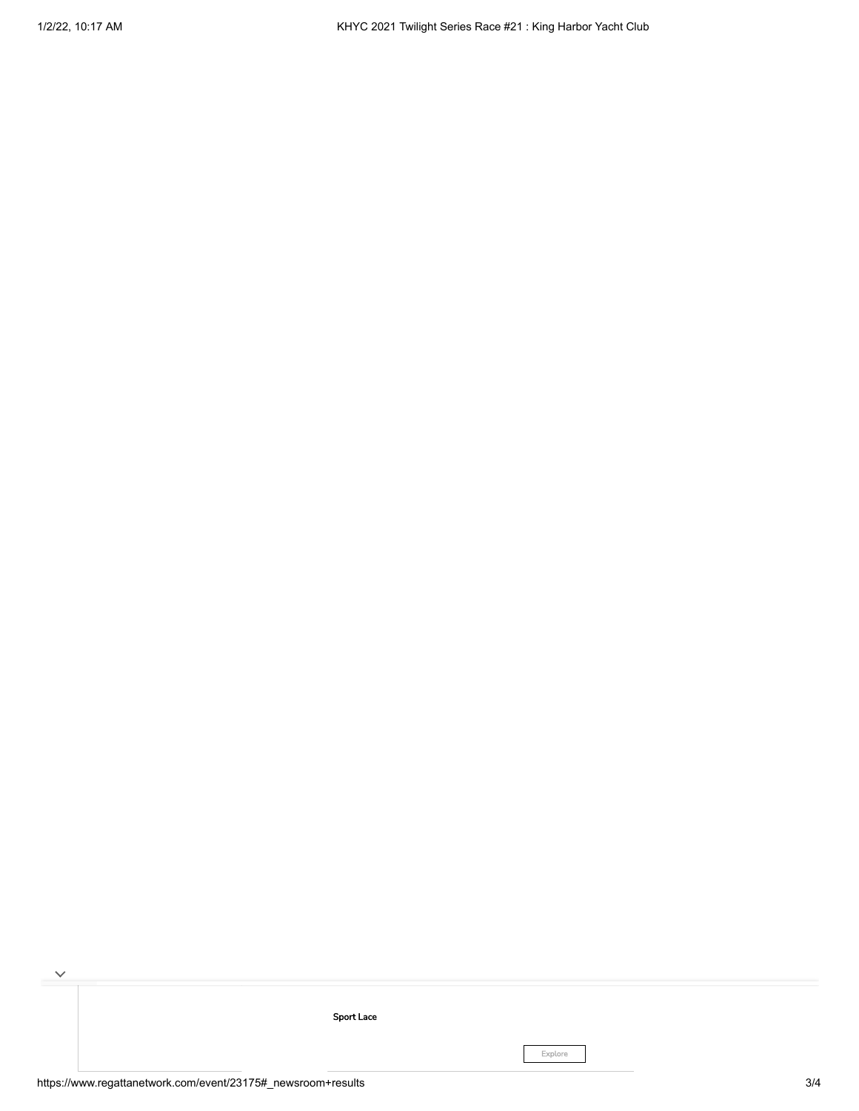[Sport](https://cat.da.us.criteo.com/m/delivery/ck.php?cppv=3&cpp=xx6zXiKtRr_WsxhOTPBX_NxaKjdVQKvLYPmMhPDO4jB01gHrJQ8V81BHOoBFB3DGKq2CVoOs8j61KopK4UWAfT2nomLeXm3r-5YUgLxILRxhARAOBEbw3o37U3hzZ4fAVWJXp9Pun5UsKf_C8dm7OAqDo-rexsaG1LOfNzXTBOkwTgUqVHIzKMJUtmkjI2pRqvmst8-sFKO_GOnvyyilIVR-ln8nXvgdtdt90hJ6XgeSpZueQxr2yXyiboScSCgtXAGjP8rY44rO2zp3SvSu1HcJyxZC1tix5qF7-UVxCw09B5wxVre0qPbmKrw-qJiztmRZDtJTW4siXeJK-aPd_PmhTKPIK6-beq6ShPLfXxZMBiPVx8MjJHg1d_kZyTTJTOluOj7JAb3bx-nQB3Wrf9VJ4zhff5u9GORZ5IvPUoRbGtfpIH041JfI4HwPq34NPo3tnedKF5geicc5sQ4HaGP-F14LtilDcGcjZvtQzVUigzQK&maxdest=https%3A%2F%2Fmagnanni.com%2Fsport-lace%3Futm_source%3Dcriteo%26utm_medium%3Ddisplay%26utm_campaign%3DWeb%2520Traffic%2520-%2520Oct%252021%252C%25202021%2520) Lace

Explore

H

 $\checkmark$